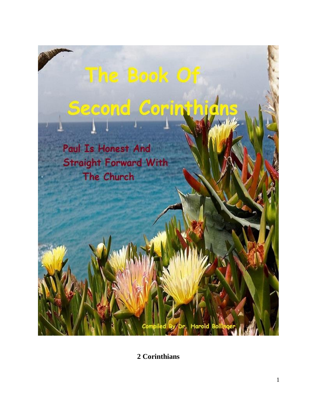

**2 Corinthians**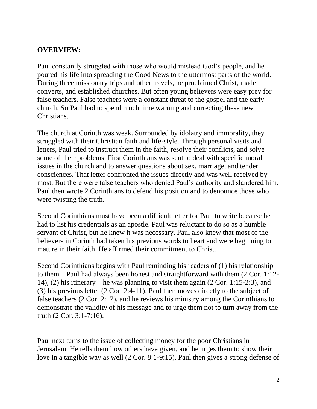# **OVERVIEW:**

Paul constantly struggled with those who would mislead God's people, and he poured his life into spreading the Good News to the uttermost parts of the world. During three missionary trips and other travels, he proclaimed Christ, made converts, and established churches. But often young believers were easy prey for false teachers. False teachers were a constant threat to the gospel and the early church. So Paul had to spend much time warning and correcting these new Christians.

The church at Corinth was weak. Surrounded by idolatry and immorality, they struggled with their Christian faith and life-style. Through personal visits and letters, Paul tried to instruct them in the faith, resolve their conflicts, and solve some of their problems. First Corinthians was sent to deal with specific moral issues in the church and to answer questions about sex, marriage, and tender consciences. That letter confronted the issues directly and was well received by most. But there were false teachers who denied Paul's authority and slandered him. Paul then wrote 2 Corinthians to defend his position and to denounce those who were twisting the truth.

Second Corinthians must have been a difficult letter for Paul to write because he had to list his credentials as an apostle. Paul was reluctant to do so as a humble servant of Christ, but he knew it was necessary. Paul also knew that most of the believers in Corinth had taken his previous words to heart and were beginning to mature in their faith. He affirmed their commitment to Christ.

Second Corinthians begins with Paul reminding his readers of (1) his relationship to them—Paul had always been honest and straightforward with them (2 Cor. 1:12- 14), (2) his itinerary—he was planning to visit them again (2 Cor. 1:15-2:3), and (3) his previous letter (2 Cor. 2:4-11). Paul then moves directly to the subject of false teachers (2 Cor. 2:17), and he reviews his ministry among the Corinthians to demonstrate the validity of his message and to urge them not to turn away from the truth (2 Cor. 3:1-7:16).

Paul next turns to the issue of collecting money for the poor Christians in Jerusalem. He tells them how others have given, and he urges them to show their love in a tangible way as well (2 Cor. 8:1-9:15). Paul then gives a strong defense of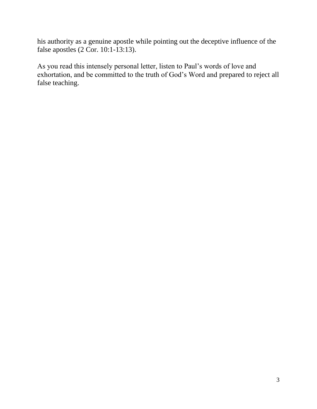his authority as a genuine apostle while pointing out the deceptive influence of the false apostles (2 Cor. 10:1-13:13).

As you read this intensely personal letter, listen to Paul's words of love and exhortation, and be committed to the truth of God's Word and prepared to reject all false teaching.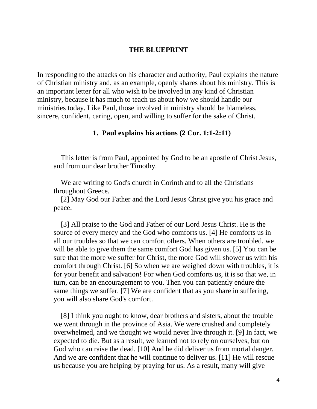#### **THE BLUEPRINT**

In responding to the attacks on his character and authority, Paul explains the nature of Christian ministry and, as an example, openly shares about his ministry. This is an important letter for all who wish to be involved in any kind of Christian ministry, because it has much to teach us about how we should handle our ministries today. Like Paul, those involved in ministry should be blameless, sincere, confident, caring, open, and willing to suffer for the sake of Christ.

#### **1. Paul explains his actions (2 Cor. 1:1-2:11)**

 This letter is from Paul, appointed by God to be an apostle of Christ Jesus, and from our dear brother Timothy.

 We are writing to God's church in Corinth and to all the Christians throughout Greece.

 [2] May God our Father and the Lord Jesus Christ give you his grace and peace.

 [3] All praise to the God and Father of our Lord Jesus Christ. He is the source of every mercy and the God who comforts us. [4] He comforts us in all our troubles so that we can comfort others. When others are troubled, we will be able to give them the same comfort God has given us. [5] You can be sure that the more we suffer for Christ, the more God will shower us with his comfort through Christ. [6] So when we are weighed down with troubles, it is for your benefit and salvation! For when God comforts us, it is so that we, in turn, can be an encouragement to you. Then you can patiently endure the same things we suffer. [7] We are confident that as you share in suffering, you will also share God's comfort.

 [8] I think you ought to know, dear brothers and sisters, about the trouble we went through in the province of Asia. We were crushed and completely overwhelmed, and we thought we would never live through it. [9] In fact, we expected to die. But as a result, we learned not to rely on ourselves, but on God who can raise the dead. [10] And he did deliver us from mortal danger. And we are confident that he will continue to deliver us. [11] He will rescue us because you are helping by praying for us. As a result, many will give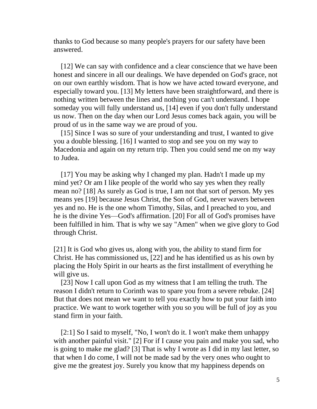thanks to God because so many people's prayers for our safety have been answered.

 [12] We can say with confidence and a clear conscience that we have been honest and sincere in all our dealings. We have depended on God's grace, not on our own earthly wisdom. That is how we have acted toward everyone, and especially toward you. [13] My letters have been straightforward, and there is nothing written between the lines and nothing you can't understand. I hope someday you will fully understand us, [14] even if you don't fully understand us now. Then on the day when our Lord Jesus comes back again, you will be proud of us in the same way we are proud of you.

[15] Since I was so sure of your understanding and trust, I wanted to give you a double blessing. [16] I wanted to stop and see you on my way to Macedonia and again on my return trip. Then you could send me on my way to Judea.

 [17] You may be asking why I changed my plan. Hadn't I made up my mind yet? Or am I like people of the world who say yes when they really mean no? [18] As surely as God is true, I am not that sort of person. My yes means yes [19] because Jesus Christ, the Son of God, never wavers between yes and no. He is the one whom Timothy, Silas, and I preached to you, and he is the divine Yes—God's affirmation. [20] For all of God's promises have been fulfilled in him. That is why we say "Amen" when we give glory to God through Christ.

[21] It is God who gives us, along with you, the ability to stand firm for Christ. He has commissioned us, [22] and he has identified us as his own by placing the Holy Spirit in our hearts as the first installment of everything he will give us.

 [23] Now I call upon God as my witness that I am telling the truth. The reason I didn't return to Corinth was to spare you from a severe rebuke. [24] But that does not mean we want to tell you exactly how to put your faith into practice. We want to work together with you so you will be full of joy as you stand firm in your faith.

 [2:1] So I said to myself, "No, I won't do it. I won't make them unhappy with another painful visit." [2] For if I cause you pain and make you sad, who is going to make me glad? [3] That is why I wrote as I did in my last letter, so that when I do come, I will not be made sad by the very ones who ought to give me the greatest joy. Surely you know that my happiness depends on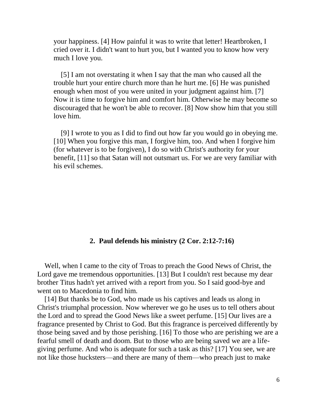your happiness. [4] How painful it was to write that letter! Heartbroken, I cried over it. I didn't want to hurt you, but I wanted you to know how very much I love you.

 [5] I am not overstating it when I say that the man who caused all the trouble hurt your entire church more than he hurt me. [6] He was punished enough when most of you were united in your judgment against him. [7] Now it is time to forgive him and comfort him. Otherwise he may become so discouraged that he won't be able to recover. [8] Now show him that you still love him.

 [9] I wrote to you as I did to find out how far you would go in obeying me. [10] When you forgive this man, I forgive him, too. And when I forgive him (for whatever is to be forgiven), I do so with Christ's authority for your benefit, [11] so that Satan will not outsmart us. For we are very familiar with his evil schemes.

#### **2. Paul defends his ministry (2 Cor. 2:12-7:16)**

 Well, when I came to the city of Troas to preach the Good News of Christ, the Lord gave me tremendous opportunities. [13] But I couldn't rest because my dear brother Titus hadn't yet arrived with a report from you. So I said good-bye and went on to Macedonia to find him.

 [14] But thanks be to God, who made us his captives and leads us along in Christ's triumphal procession. Now wherever we go he uses us to tell others about the Lord and to spread the Good News like a sweet perfume. [15] Our lives are a fragrance presented by Christ to God. But this fragrance is perceived differently by those being saved and by those perishing. [16] To those who are perishing we are a fearful smell of death and doom. But to those who are being saved we are a lifegiving perfume. And who is adequate for such a task as this? [17] You see, we are not like those hucksters—and there are many of them—who preach just to make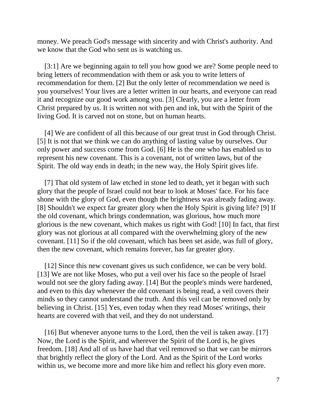money. We preach God's message with sincerity and with Christ's authority. And we know that the God who sent us is watching us.

 [3:1] Are we beginning again to tell you how good we are? Some people need to bring letters of recommendation with them or ask you to write letters of recommendation for them. [2] But the only letter of recommendation we need is you yourselves! Your lives are a letter written in our hearts, and everyone can read it and recognize our good work among you. [3] Clearly, you are a letter from Christ prepared by us. It is written not with pen and ink, but with the Spirit of the living God. It is carved not on stone, but on human hearts.

 [4] We are confident of all this because of our great trust in God through Christ. [5] It is not that we think we can do anything of lasting value by ourselves. Our only power and success come from God. [6] He is the one who has enabled us to represent his new covenant. This is a covenant, not of written laws, but of the Spirit. The old way ends in death; in the new way, the Holy Spirit gives life.

 [7] That old system of law etched in stone led to death, yet it began with such glory that the people of Israel could not bear to look at Moses' face. For his face shone with the glory of God, even though the brightness was already fading away. [8] Shouldn't we expect far greater glory when the Holy Spirit is giving life? [9] If the old covenant, which brings condemnation, was glorious, how much more glorious is the new covenant, which makes us right with God! [10] In fact, that first glory was not glorious at all compared with the overwhelming glory of the new covenant. [11] So if the old covenant, which has been set aside, was full of glory, then the new covenant, which remains forever, has far greater glory.

 [12] Since this new covenant gives us such confidence, we can be very bold. [13] We are not like Moses, who put a veil over his face so the people of Israel would not see the glory fading away. [14] But the people's minds were hardened, and even to this day whenever the old covenant is being read, a veil covers their minds so they cannot understand the truth. And this veil can be removed only by believing in Christ. [15] Yes, even today when they read Moses' writings, their hearts are covered with that veil, and they do not understand.

 [16] But whenever anyone turns to the Lord, then the veil is taken away. [17] Now, the Lord is the Spirit, and wherever the Spirit of the Lord is, he gives freedom. [18] And all of us have had that veil removed so that we can be mirrors that brightly reflect the glory of the Lord. And as the Spirit of the Lord works within us, we become more and more like him and reflect his glory even more.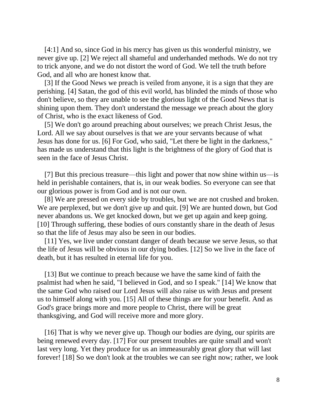[4:1] And so, since God in his mercy has given us this wonderful ministry, we never give up. [2] We reject all shameful and underhanded methods. We do not try to trick anyone, and we do not distort the word of God. We tell the truth before God, and all who are honest know that.

[3] If the Good News we preach is veiled from anyone, it is a sign that they are perishing. [4] Satan, the god of this evil world, has blinded the minds of those who don't believe, so they are unable to see the glorious light of the Good News that is shining upon them. They don't understand the message we preach about the glory of Christ, who is the exact likeness of God.

 [5] We don't go around preaching about ourselves; we preach Christ Jesus, the Lord. All we say about ourselves is that we are your servants because of what Jesus has done for us. [6] For God, who said, "Let there be light in the darkness," has made us understand that this light is the brightness of the glory of God that is seen in the face of Jesus Christ.

 [7] But this precious treasure—this light and power that now shine within us—is held in perishable containers, that is, in our weak bodies. So everyone can see that our glorious power is from God and is not our own.

 [8] We are pressed on every side by troubles, but we are not crushed and broken. We are perplexed, but we don't give up and quit. [9] We are hunted down, but God never abandons us. We get knocked down, but we get up again and keep going. [10] Through suffering, these bodies of ours constantly share in the death of Jesus so that the life of Jesus may also be seen in our bodies.

 [11] Yes, we live under constant danger of death because we serve Jesus, so that the life of Jesus will be obvious in our dying bodies. [12] So we live in the face of death, but it has resulted in eternal life for you.

 [13] But we continue to preach because we have the same kind of faith the psalmist had when he said, "I believed in God, and so I speak." [14] We know that the same God who raised our Lord Jesus will also raise us with Jesus and present us to himself along with you. [15] All of these things are for your benefit. And as God's grace brings more and more people to Christ, there will be great thanksgiving, and God will receive more and more glory.

 [16] That is why we never give up. Though our bodies are dying, our spirits are being renewed every day. [17] For our present troubles are quite small and won't last very long. Yet they produce for us an immeasurably great glory that will last forever! [18] So we don't look at the troubles we can see right now; rather, we look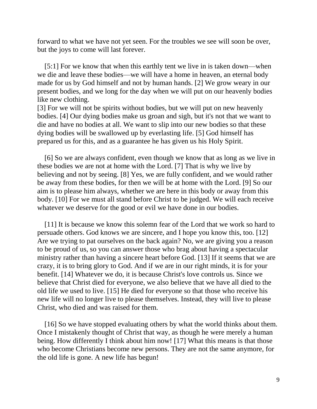forward to what we have not yet seen. For the troubles we see will soon be over, but the joys to come will last forever.

 [5:1] For we know that when this earthly tent we live in is taken down—when we die and leave these bodies—we will have a home in heaven, an eternal body made for us by God himself and not by human hands. [2] We grow weary in our present bodies, and we long for the day when we will put on our heavenly bodies like new clothing.

[3] For we will not be spirits without bodies, but we will put on new heavenly bodies. [4] Our dying bodies make us groan and sigh, but it's not that we want to die and have no bodies at all. We want to slip into our new bodies so that these dying bodies will be swallowed up by everlasting life. [5] God himself has prepared us for this, and as a guarantee he has given us his Holy Spirit.

 [6] So we are always confident, even though we know that as long as we live in these bodies we are not at home with the Lord. [7] That is why we live by believing and not by seeing. [8] Yes, we are fully confident, and we would rather be away from these bodies, for then we will be at home with the Lord. [9] So our aim is to please him always, whether we are here in this body or away from this body. [10] For we must all stand before Christ to be judged. We will each receive whatever we deserve for the good or evil we have done in our bodies.

 [11] It is because we know this solemn fear of the Lord that we work so hard to persuade others. God knows we are sincere, and I hope you know this, too. [12] Are we trying to pat ourselves on the back again? No, we are giving you a reason to be proud of us, so you can answer those who brag about having a spectacular ministry rather than having a sincere heart before God. [13] If it seems that we are crazy, it is to bring glory to God. And if we are in our right minds, it is for your benefit. [14] Whatever we do, it is because Christ's love controls us. Since we believe that Christ died for everyone, we also believe that we have all died to the old life we used to live. [15] He died for everyone so that those who receive his new life will no longer live to please themselves. Instead, they will live to please Christ, who died and was raised for them.

 [16] So we have stopped evaluating others by what the world thinks about them. Once I mistakenly thought of Christ that way, as though he were merely a human being. How differently I think about him now! [17] What this means is that those who become Christians become new persons. They are not the same anymore, for the old life is gone. A new life has begun!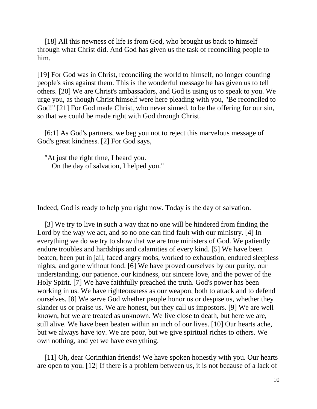[18] All this newness of life is from God, who brought us back to himself through what Christ did. And God has given us the task of reconciling people to him.

[19] For God was in Christ, reconciling the world to himself, no longer counting people's sins against them. This is the wonderful message he has given us to tell others. [20] We are Christ's ambassadors, and God is using us to speak to you. We urge you, as though Christ himself were here pleading with you, "Be reconciled to God!" [21] For God made Christ, who never sinned, to be the offering for our sin, so that we could be made right with God through Christ.

 [6:1] As God's partners, we beg you not to reject this marvelous message of God's great kindness. [2] For God says,

 "At just the right time, I heard you. On the day of salvation, I helped you."

Indeed, God is ready to help you right now. Today is the day of salvation.

 [3] We try to live in such a way that no one will be hindered from finding the Lord by the way we act, and so no one can find fault with our ministry. [4] In everything we do we try to show that we are true ministers of God. We patiently endure troubles and hardships and calamities of every kind. [5] We have been beaten, been put in jail, faced angry mobs, worked to exhaustion, endured sleepless nights, and gone without food. [6] We have proved ourselves by our purity, our understanding, our patience, our kindness, our sincere love, and the power of the Holy Spirit. [7] We have faithfully preached the truth. God's power has been working in us. We have righteousness as our weapon, both to attack and to defend ourselves. [8] We serve God whether people honor us or despise us, whether they slander us or praise us. We are honest, but they call us impostors. [9] We are well known, but we are treated as unknown. We live close to death, but here we are, still alive. We have been beaten within an inch of our lives. [10] Our hearts ache, but we always have joy. We are poor, but we give spiritual riches to others. We own nothing, and yet we have everything.

 [11] Oh, dear Corinthian friends! We have spoken honestly with you. Our hearts are open to you. [12] If there is a problem between us, it is not because of a lack of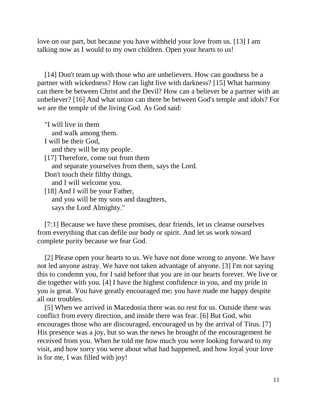love on our part, but because you have withheld your love from us. [13] I am talking now as I would to my own children. Open your hearts to us!

 [14] Don't team up with those who are unbelievers. How can goodness be a partner with wickedness? How can light live with darkness? [15] What harmony can there be between Christ and the Devil? How can a believer be a partner with an unbeliever? [16] And what union can there be between God's temple and idols? For we are the temple of the living God. As God said:

 "I will live in them and walk among them. I will be their God, and they will be my people. [17] Therefore, come out from them and separate yourselves from them, says the Lord. Don't touch their filthy things, and I will welcome you. [18] And I will be your Father, and you will be my sons and daughters,

says the Lord Almighty."

 [7:1] Because we have these promises, dear friends, let us cleanse ourselves from everything that can defile our body or spirit. And let us work toward complete purity because we fear God.

 [2] Please open your hearts to us. We have not done wrong to anyone. We have not led anyone astray. We have not taken advantage of anyone. [3] I'm not saying this to condemn you, for I said before that you are in our hearts forever. We live or die together with you. [4] I have the highest confidence in you, and my pride in you is great. You have greatly encouraged me; you have made me happy despite all our troubles.

 [5] When we arrived in Macedonia there was no rest for us. Outside there was conflict from every direction, and inside there was fear. [6] But God, who encourages those who are discouraged, encouraged us by the arrival of Titus. [7] His presence was a joy, but so was the news he brought of the encouragement he received from you. When he told me how much you were looking forward to my visit, and how sorry you were about what had happened, and how loyal your love is for me, I was filled with joy!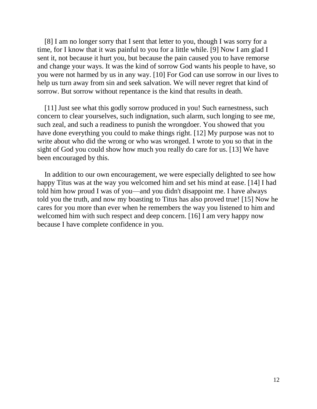[8] I am no longer sorry that I sent that letter to you, though I was sorry for a time, for I know that it was painful to you for a little while. [9] Now I am glad I sent it, not because it hurt you, but because the pain caused you to have remorse and change your ways. It was the kind of sorrow God wants his people to have, so you were not harmed by us in any way. [10] For God can use sorrow in our lives to help us turn away from sin and seek salvation. We will never regret that kind of sorrow. But sorrow without repentance is the kind that results in death.

 [11] Just see what this godly sorrow produced in you! Such earnestness, such concern to clear yourselves, such indignation, such alarm, such longing to see me, such zeal, and such a readiness to punish the wrongdoer. You showed that you have done everything you could to make things right. [12] My purpose was not to write about who did the wrong or who was wronged. I wrote to you so that in the sight of God you could show how much you really do care for us. [13] We have been encouraged by this.

 In addition to our own encouragement, we were especially delighted to see how happy Titus was at the way you welcomed him and set his mind at ease. [14] I had told him how proud I was of you—and you didn't disappoint me. I have always told you the truth, and now my boasting to Titus has also proved true! [15] Now he cares for you more than ever when he remembers the way you listened to him and welcomed him with such respect and deep concern. [16] I am very happy now because I have complete confidence in you.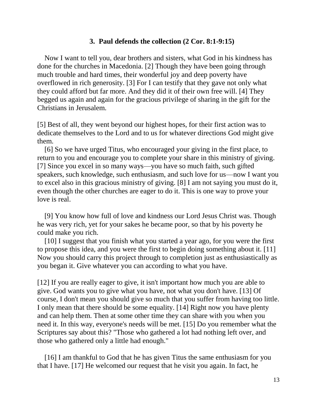#### **3. Paul defends the collection (2 Cor. 8:1-9:15)**

 Now I want to tell you, dear brothers and sisters, what God in his kindness has done for the churches in Macedonia. [2] Though they have been going through much trouble and hard times, their wonderful joy and deep poverty have overflowed in rich generosity. [3] For I can testify that they gave not only what they could afford but far more. And they did it of their own free will. [4] They begged us again and again for the gracious privilege of sharing in the gift for the Christians in Jerusalem.

[5] Best of all, they went beyond our highest hopes, for their first action was to dedicate themselves to the Lord and to us for whatever directions God might give them.

 [6] So we have urged Titus, who encouraged your giving in the first place, to return to you and encourage you to complete your share in this ministry of giving. [7] Since you excel in so many ways—you have so much faith, such gifted speakers, such knowledge, such enthusiasm, and such love for us—now I want you to excel also in this gracious ministry of giving. [8] I am not saying you must do it, even though the other churches are eager to do it. This is one way to prove your love is real.

 [9] You know how full of love and kindness our Lord Jesus Christ was. Though he was very rich, yet for your sakes he became poor, so that by his poverty he could make you rich.

[10] I suggest that you finish what you started a year ago, for you were the first to propose this idea, and you were the first to begin doing something about it. [11] Now you should carry this project through to completion just as enthusiastically as you began it. Give whatever you can according to what you have.

[12] If you are really eager to give, it isn't important how much you are able to give. God wants you to give what you have, not what you don't have. [13] Of course, I don't mean you should give so much that you suffer from having too little. I only mean that there should be some equality. [14] Right now you have plenty and can help them. Then at some other time they can share with you when you need it. In this way, everyone's needs will be met. [15] Do you remember what the Scriptures say about this? "Those who gathered a lot had nothing left over, and those who gathered only a little had enough."

 [16] I am thankful to God that he has given Titus the same enthusiasm for you that I have. [17] He welcomed our request that he visit you again. In fact, he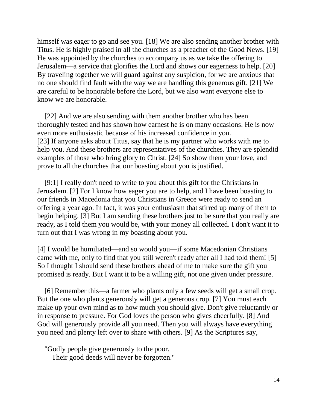himself was eager to go and see you. [18] We are also sending another brother with Titus. He is highly praised in all the churches as a preacher of the Good News. [19] He was appointed by the churches to accompany us as we take the offering to Jerusalem—a service that glorifies the Lord and shows our eagerness to help. [20] By traveling together we will guard against any suspicion, for we are anxious that no one should find fault with the way we are handling this generous gift. [21] We are careful to be honorable before the Lord, but we also want everyone else to know we are honorable.

 [22] And we are also sending with them another brother who has been thoroughly tested and has shown how earnest he is on many occasions. He is now even more enthusiastic because of his increased confidence in you. [23] If anyone asks about Titus, say that he is my partner who works with me to help you. And these brothers are representatives of the churches. They are splendid examples of those who bring glory to Christ. [24] So show them your love, and prove to all the churches that our boasting about you is justified.

 [9:1] I really don't need to write to you about this gift for the Christians in Jerusalem. [2] For I know how eager you are to help, and I have been boasting to our friends in Macedonia that you Christians in Greece were ready to send an offering a year ago. In fact, it was your enthusiasm that stirred up many of them to begin helping. [3] But I am sending these brothers just to be sure that you really are ready, as I told them you would be, with your money all collected. I don't want it to turn out that I was wrong in my boasting about you.

[4] I would be humiliated—and so would you—if some Macedonian Christians came with me, only to find that you still weren't ready after all I had told them! [5] So I thought I should send these brothers ahead of me to make sure the gift you promised is ready. But I want it to be a willing gift, not one given under pressure.

 [6] Remember this—a farmer who plants only a few seeds will get a small crop. But the one who plants generously will get a generous crop. [7] You must each make up your own mind as to how much you should give. Don't give reluctantly or in response to pressure. For God loves the person who gives cheerfully. [8] And God will generously provide all you need. Then you will always have everything you need and plenty left over to share with others. [9] As the Scriptures say,

 "Godly people give generously to the poor. Their good deeds will never be forgotten."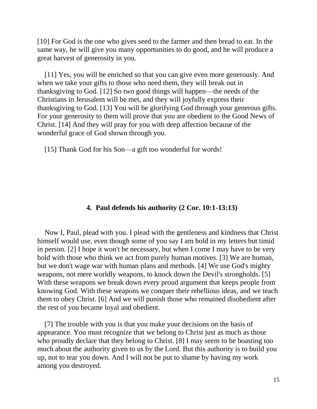[10] For God is the one who gives seed to the farmer and then bread to eat. In the same way, he will give you many opportunities to do good, and he will produce a great harvest of generosity in you.

[11] Yes, you will be enriched so that you can give even more generously. And when we take your gifts to those who need them, they will break out in thanksgiving to God. [12] So two good things will happen—the needs of the Christians in Jerusalem will be met, and they will joyfully express their thanksgiving to God. [13] You will be glorifying God through your generous gifts. For your generosity to them will prove that you are obedient to the Good News of Christ. [14] And they will pray for you with deep affection because of the wonderful grace of God shown through you.

[15] Thank God for his Son—a gift too wonderful for words!

## **4. Paul defends his authority (2 Cor. 10:1-13:13)**

 Now I, Paul, plead with you. I plead with the gentleness and kindness that Christ himself would use, even though some of you say I am bold in my letters but timid in person. [2] I hope it won't be necessary, but when I come I may have to be very bold with those who think we act from purely human motives. [3] We are human, but we don't wage war with human plans and methods. [4] We use God's mighty weapons, not mere worldly weapons, to knock down the Devil's strongholds. [5] With these weapons we break down every proud argument that keeps people from knowing God. With these weapons we conquer their rebellious ideas, and we teach them to obey Christ. [6] And we will punish those who remained disobedient after the rest of you became loyal and obedient.

 [7] The trouble with you is that you make your decisions on the basis of appearance. You must recognize that we belong to Christ just as much as those who proudly declare that they belong to Christ. [8] I may seem to be boasting too much about the authority given to us by the Lord. But this authority is to build you up, not to tear you down. And I will not be put to shame by having my work among you destroyed.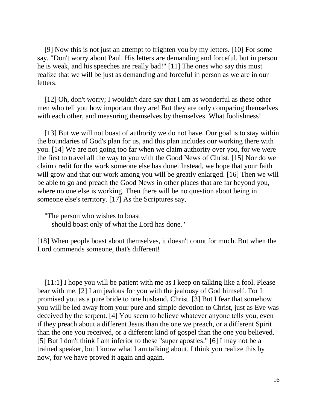[9] Now this is not just an attempt to frighten you by my letters. [10] For some say, "Don't worry about Paul. His letters are demanding and forceful, but in person he is weak, and his speeches are really bad!" [11] The ones who say this must realize that we will be just as demanding and forceful in person as we are in our letters.

 [12] Oh, don't worry; I wouldn't dare say that I am as wonderful as these other men who tell you how important they are! But they are only comparing themselves with each other, and measuring themselves by themselves. What foolishness!

 [13] But we will not boast of authority we do not have. Our goal is to stay within the boundaries of God's plan for us, and this plan includes our working there with you. [14] We are not going too far when we claim authority over you, for we were the first to travel all the way to you with the Good News of Christ. [15] Nor do we claim credit for the work someone else has done. Instead, we hope that your faith will grow and that our work among you will be greatly enlarged. [16] Then we will be able to go and preach the Good News in other places that are far beyond you, where no one else is working. Then there will be no question about being in someone else's territory. [17] As the Scriptures say,

 "The person who wishes to boast should boast only of what the Lord has done."

[18] When people boast about themselves, it doesn't count for much. But when the Lord commends someone, that's different!

 [11:1] I hope you will be patient with me as I keep on talking like a fool. Please bear with me. [2] I am jealous for you with the jealousy of God himself. For I promised you as a pure bride to one husband, Christ. [3] But I fear that somehow you will be led away from your pure and simple devotion to Christ, just as Eve was deceived by the serpent. [4] You seem to believe whatever anyone tells you, even if they preach about a different Jesus than the one we preach, or a different Spirit than the one you received, or a different kind of gospel than the one you believed. [5] But I don't think I am inferior to these "super apostles." [6] I may not be a trained speaker, but I know what I am talking about. I think you realize this by now, for we have proved it again and again.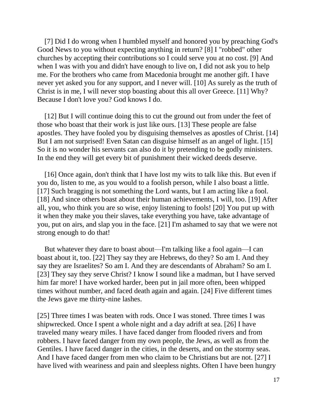[7] Did I do wrong when I humbled myself and honored you by preaching God's Good News to you without expecting anything in return? [8] I "robbed" other churches by accepting their contributions so I could serve you at no cost. [9] And when I was with you and didn't have enough to live on, I did not ask you to help me. For the brothers who came from Macedonia brought me another gift. I have never yet asked you for any support, and I never will. [10] As surely as the truth of Christ is in me, I will never stop boasting about this all over Greece. [11] Why? Because I don't love you? God knows I do.

 [12] But I will continue doing this to cut the ground out from under the feet of those who boast that their work is just like ours. [13] These people are false apostles. They have fooled you by disguising themselves as apostles of Christ. [14] But I am not surprised! Even Satan can disguise himself as an angel of light. [15] So it is no wonder his servants can also do it by pretending to be godly ministers. In the end they will get every bit of punishment their wicked deeds deserve.

 [16] Once again, don't think that I have lost my wits to talk like this. But even if you do, listen to me, as you would to a foolish person, while I also boast a little. [17] Such bragging is not something the Lord wants, but I am acting like a fool. [18] And since others boast about their human achievements, I will, too. [19] After all, you, who think you are so wise, enjoy listening to fools! [20] You put up with it when they make you their slaves, take everything you have, take advantage of you, put on airs, and slap you in the face. [21] I'm ashamed to say that we were not strong enough to do that!

 But whatever they dare to boast about—I'm talking like a fool again—I can boast about it, too. [22] They say they are Hebrews, do they? So am I. And they say they are Israelites? So am I. And they are descendants of Abraham? So am I. [23] They say they serve Christ? I know I sound like a madman, but I have served him far more! I have worked harder, been put in jail more often, been whipped times without number, and faced death again and again. [24] Five different times the Jews gave me thirty-nine lashes.

[25] Three times I was beaten with rods. Once I was stoned. Three times I was shipwrecked. Once I spent a whole night and a day adrift at sea. [26] I have traveled many weary miles. I have faced danger from flooded rivers and from robbers. I have faced danger from my own people, the Jews, as well as from the Gentiles. I have faced danger in the cities, in the deserts, and on the stormy seas. And I have faced danger from men who claim to be Christians but are not. [27] I have lived with weariness and pain and sleepless nights. Often I have been hungry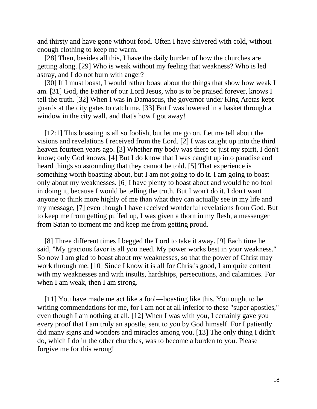and thirsty and have gone without food. Often I have shivered with cold, without enough clothing to keep me warm.

[28] Then, besides all this, I have the daily burden of how the churches are getting along. [29] Who is weak without my feeling that weakness? Who is led astray, and I do not burn with anger?

 [30] If I must boast, I would rather boast about the things that show how weak I am. [31] God, the Father of our Lord Jesus, who is to be praised forever, knows I tell the truth. [32] When I was in Damascus, the governor under King Aretas kept guards at the city gates to catch me. [33] But I was lowered in a basket through a window in the city wall, and that's how I got away!

 [12:1] This boasting is all so foolish, but let me go on. Let me tell about the visions and revelations I received from the Lord. [2] I was caught up into the third heaven fourteen years ago. [3] Whether my body was there or just my spirit, I don't know; only God knows. [4] But I do know that I was caught up into paradise and heard things so astounding that they cannot be told. [5] That experience is something worth boasting about, but I am not going to do it. I am going to boast only about my weaknesses. [6] I have plenty to boast about and would be no fool in doing it, because I would be telling the truth. But I won't do it. I don't want anyone to think more highly of me than what they can actually see in my life and my message, [7] even though I have received wonderful revelations from God. But to keep me from getting puffed up, I was given a thorn in my flesh, a messenger from Satan to torment me and keep me from getting proud.

 [8] Three different times I begged the Lord to take it away. [9] Each time he said, "My gracious favor is all you need. My power works best in your weakness." So now I am glad to boast about my weaknesses, so that the power of Christ may work through me. [10] Since I know it is all for Christ's good, I am quite content with my weaknesses and with insults, hardships, persecutions, and calamities. For when I am weak, then I am strong.

 [11] You have made me act like a fool—boasting like this. You ought to be writing commendations for me, for I am not at all inferior to these "super apostles," even though I am nothing at all. [12] When I was with you, I certainly gave you every proof that I am truly an apostle, sent to you by God himself. For I patiently did many signs and wonders and miracles among you. [13] The only thing I didn't do, which I do in the other churches, was to become a burden to you. Please forgive me for this wrong!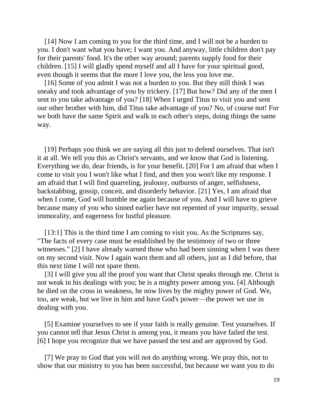[14] Now I am coming to you for the third time, and I will not be a burden to you. I don't want what you have; I want you. And anyway, little children don't pay for their parents' food. It's the other way around; parents supply food for their children. [15] I will gladly spend myself and all I have for your spiritual good, even though it seems that the more I love you, the less you love me.

 [16] Some of you admit I was not a burden to you. But they still think I was sneaky and took advantage of you by trickery. [17] But how? Did any of the men I sent to you take advantage of you? [18] When I urged Titus to visit you and sent our other brother with him, did Titus take advantage of you? No, of course not! For we both have the same Spirit and walk in each other's steps, doing things the same way.

 [19] Perhaps you think we are saying all this just to defend ourselves. That isn't it at all. We tell you this as Christ's servants, and we know that God is listening. Everything we do, dear friends, is for your benefit. [20] For I am afraid that when I come to visit you I won't like what I find, and then you won't like my response. I am afraid that I will find quarreling, jealousy, outbursts of anger, selfishness, backstabbing, gossip, conceit, and disorderly behavior. [21] Yes, I am afraid that when I come, God will humble me again because of you. And I will have to grieve because many of you who sinned earlier have not repented of your impurity, sexual immorality, and eagerness for lustful pleasure.

 [13:1] This is the third time I am coming to visit you. As the Scriptures say, "The facts of every case must be established by the testimony of two or three witnesses." [2] I have already warned those who had been sinning when I was there on my second visit. Now I again warn them and all others, just as I did before, that this next time I will not spare them.

 [3] I will give you all the proof you want that Christ speaks through me. Christ is not weak in his dealings with you; he is a mighty power among you. [4] Although he died on the cross in weakness, he now lives by the mighty power of God. We, too, are weak, but we live in him and have God's power—the power we use in dealing with you.

 [5] Examine yourselves to see if your faith is really genuine. Test yourselves. If you cannot tell that Jesus Christ is among you, it means you have failed the test. [6] I hope you recognize that we have passed the test and are approved by God.

 [7] We pray to God that you will not do anything wrong. We pray this, not to show that our ministry to you has been successful, but because we want you to do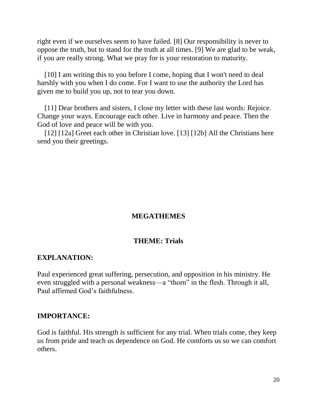right even if we ourselves seem to have failed. [8] Our responsibility is never to oppose the truth, but to stand for the truth at all times. [9] We are glad to be weak, if you are really strong. What we pray for is your restoration to maturity.

 [10] I am writing this to you before I come, hoping that I won't need to deal harshly with you when I do come. For I want to use the authority the Lord has given me to build you up, not to tear you down.

 [11] Dear brothers and sisters, I close my letter with these last words: Rejoice. Change your ways. Encourage each other. Live in harmony and peace. Then the God of love and peace will be with you.

[12] [12a] Greet each other in Christian love. [13] [12b] All the Christians here send you their greetings.

## **MEGATHEMES**

#### **THEME: Trials**

#### **EXPLANATION:**

Paul experienced great suffering, persecution, and opposition in his ministry. He even struggled with a personal weakness—a "thorn" in the flesh. Through it all, Paul affirmed God's faithfulness.

#### **IMPORTANCE:**

God is faithful. His strength is sufficient for any trial. When trials come, they keep us from pride and teach us dependence on God. He comforts us so we can comfort others.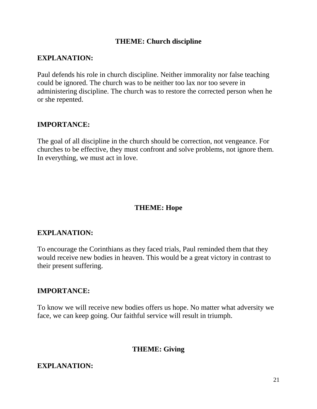## **THEME: Church discipline**

## **EXPLANATION:**

Paul defends his role in church discipline. Neither immorality nor false teaching could be ignored. The church was to be neither too lax nor too severe in administering discipline. The church was to restore the corrected person when he or she repented.

## **IMPORTANCE:**

The goal of all discipline in the church should be correction, not vengeance. For churches to be effective, they must confront and solve problems, not ignore them. In everything, we must act in love.

# **THEME: Hope**

## **EXPLANATION:**

To encourage the Corinthians as they faced trials, Paul reminded them that they would receive new bodies in heaven. This would be a great victory in contrast to their present suffering.

# **IMPORTANCE:**

To know we will receive new bodies offers us hope. No matter what adversity we face, we can keep going. Our faithful service will result in triumph.

# **THEME: Giving**

# **EXPLANATION:**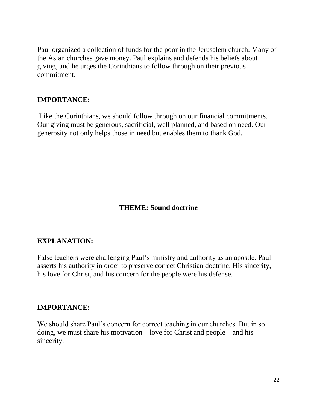Paul organized a collection of funds for the poor in the Jerusalem church. Many of the Asian churches gave money. Paul explains and defends his beliefs about giving, and he urges the Corinthians to follow through on their previous commitment.

## **IMPORTANCE:**

Like the Corinthians, we should follow through on our financial commitments. Our giving must be generous, sacrificial, well planned, and based on need. Our generosity not only helps those in need but enables them to thank God.

# **THEME: Sound doctrine**

## **EXPLANATION:**

False teachers were challenging Paul's ministry and authority as an apostle. Paul asserts his authority in order to preserve correct Christian doctrine. His sincerity, his love for Christ, and his concern for the people were his defense.

## **IMPORTANCE:**

We should share Paul's concern for correct teaching in our churches. But in so doing, we must share his motivation—love for Christ and people—and his sincerity.